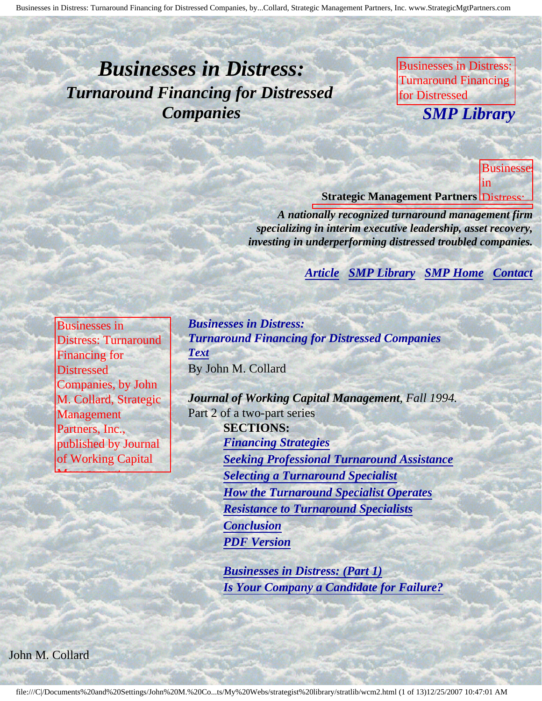# <span id="page-0-4"></span><span id="page-0-3"></span>*Businesses in Distress: Turnaround Financing for Distressed Companies*

Businesses in Distress: Turnaround Financing for Distressed

Management Partners,

a inc., published by the contract of the public of the public of the public of the public of the public of the

**COMP** Library M. Collard, Strategic *SMP Library*

**Journal of Working Street Capital Management, In the** in

**Distressed** 

by John

Collard, Strategic

Inc.,

by

of

published and published and

**Wilson** 

**Working** Capital

Warren, Gorham *Cambridge* 

Management,

**Management** 

**Strategic Management Partners Distress:** 

**A** nationally recognized turnaround management firm *specializing in interim executive leadership, asset recovery, investing in underperforming distressed troubled companies.* 

Gorham & Lamont

**Contact [Article](#page-0-0) [SMP Library](http://members.aol.com/stratlib3/libindx.html) [SMP Home](http://members.aol.com/strategist/home.html#TOP) [Contact](#page-11-0)** 

Partners, Inc., published by Journal of

<span id="page-0-0"></span>

| <b>Businesses</b> in        |
|-----------------------------|
| <b>Distress: Turnaround</b> |
| <b>Financing for</b>        |
| <b>Distressed</b>           |
| Companies, by John          |
| M. Collard, Strategic       |
| Management                  |
| Partners, Inc.,             |
| published by Journal        |
| of Working Capital          |

<span id="page-0-2"></span>Management,

Lamont

Warren, Gorham & Gorham & Gorham & Gorham & Gorham & Gorham & Gorham & Gorham & Gorham & Gorham & Gorham & Go

*Businesses in Distress: Turnaround Financing for Distressed Companies [Text](#page-0-1)* By John M. Collard

*Journal of Working Capital Management, Fall 1994.* Part 2 of a two-part series **SECTIONS:** *[Financing Strategies](#page-1-0) [Seeking Professional Turnaround Assistance](#page-4-0) [Selecting a Turnaround Specialist](#page-6-0) [How the Turnaround Specialist Operates](#page-7-0) [Resistance to Turnaround Specialists](#page-9-0) [Conclusion](#page-10-0) [PDF Version](http://members.aol.com/stratlib/jwcm2.pdf)*

> *[Businesses in Distress: \(Part 1\)](http://members.aol.com/stratlib/wcm1.html#TOP) [Is Your Company a Candidate for Failure?](http://members.aol.com/stratlib/wcm1.html#TOP)*

<span id="page-0-1"></span>John M. Collard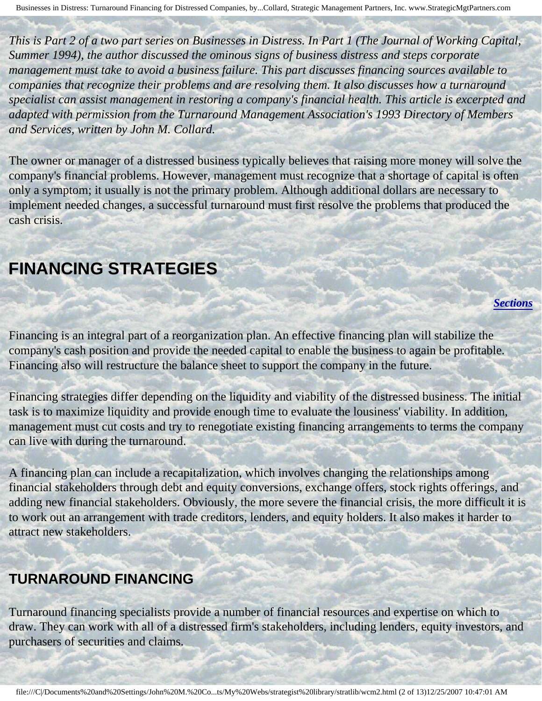*This is Part 2 of a two part series on Businesses in Distress. In Part 1 (The Journal of Working Capital, Summer 1994), the author discussed the ominous signs of business distress and steps corporate management must take to avoid a business failure. This part discusses financing sources available to companies that recognize their problems and are resolving them. It also discusses how a turnaround specialist can assist management in restoring a company's financial health. This article is excerpted and adapted with permission from the Turnaround Management Association's 1993 Directory of Members and Services, written by John M. Collard.*

The owner or manager of a distressed business typically believes that raising more money will solve the company's financial problems. However, management must recognize that a shortage of capital is often only a symptom; it usually is not the primary problem. Although additional dollars are necessary to implement needed changes, a successful turnaround must first resolve the problems that produced the cash crisis.

## <span id="page-1-0"></span>**FINANCING STRATEGIES**

Financing is an integral part of a reorganization plan. An effective financing plan will stabilize the company's cash position and provide the needed capital to enable the business to again be profitable. Financing also will restructure the balance sheet to support the company in the future.

*[Sections](#page-0-2)*

Financing strategies differ depending on the liquidity and viability of the distressed business. The initial task is to maximize liquidity and provide enough time to evaluate the lousiness' viability. In addition, management must cut costs and try to renegotiate existing financing arrangements to terms the company can live with during the turnaround.

A financing plan can include a recapitalization, which involves changing the relationships among financial stakeholders through debt and equity conversions, exchange offers, stock rights offerings, and adding new financial stakeholders. Obviously, the more severe the financial crisis, the more difficult it is to work out an arrangement with trade creditors, lenders, and equity holders. It also makes it harder to attract new stakeholders.

### **TURNAROUND FINANCING**

j

Turnaround financing specialists provide a number of financial resources and expertise on which to draw. They can work with all of a distressed firm's stakeholders, including lenders, equity investors, and purchasers of securities and claims.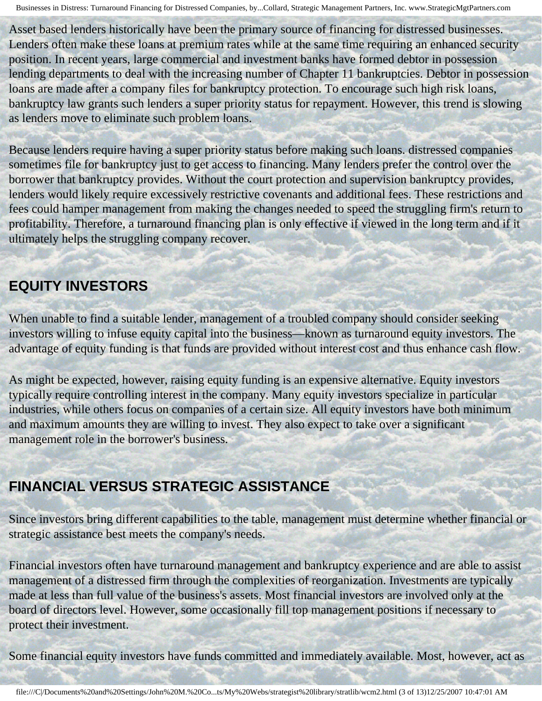Asset based lenders historically have been the primary source of financing for distressed businesses. Lenders often make these loans at premium rates while at the same time requiring an enhanced security position. In recent years, large commercial and investment banks have formed debtor in possession lending departments to deal with the increasing number of Chapter 11 bankruptcies. Debtor in possession loans are made after a company files for bankruptcy protection. To encourage such high risk loans, bankruptcy law grants such lenders a super priority status for repayment. However, this trend is slowing as lenders move to eliminate such problem loans.

Because lenders require having a super priority status before making such loans. distressed companies sometimes file for bankruptcy just to get access to financing. Many lenders prefer the control over the borrower that bankruptcy provides. Without the court protection and supervision bankruptcy provides, lenders would likely require excessively restrictive covenants and additional fees. These restrictions and fees could hamper management from making the changes needed to speed the struggling firm's return to profitability. Therefore, a turnaround financing plan is only effective if viewed in the long term and if it ultimately helps the struggling company recover.

### **EQUITY INVESTORS**

When unable to find a suitable lender, management of a troubled company should consider seeking investors willing to infuse equity capital into the business—known as turnaround equity investors. The advantage of equity funding is that funds are provided without interest cost and thus enhance cash flow.

As might be expected, however, raising equity funding is an expensive alternative. Equity investors typically require controlling interest in the company. Many equity investors specialize in particular industries, while others focus on companies of a certain size. All equity investors have both minimum and maximum amounts they are willing to invest. They also expect to take over a significant management role in the borrower's business.

### **FINANCIAL VERSUS STRATEGIC ASSISTANCE**

Since investors bring different capabilities to the table, management must determine whether financial or strategic assistance best meets the company's needs.

Financial investors often have turnaround management and bankruptcy experience and are able to assist management of a distressed firm through the complexities of reorganization. Investments are typically made at less than full value of the business's assets. Most financial investors are involved only at the board of directors level. However, some occasionally fill top management positions if necessary to protect their investment.

Some financial equity investors have funds committed and immediately available. Most, however, act as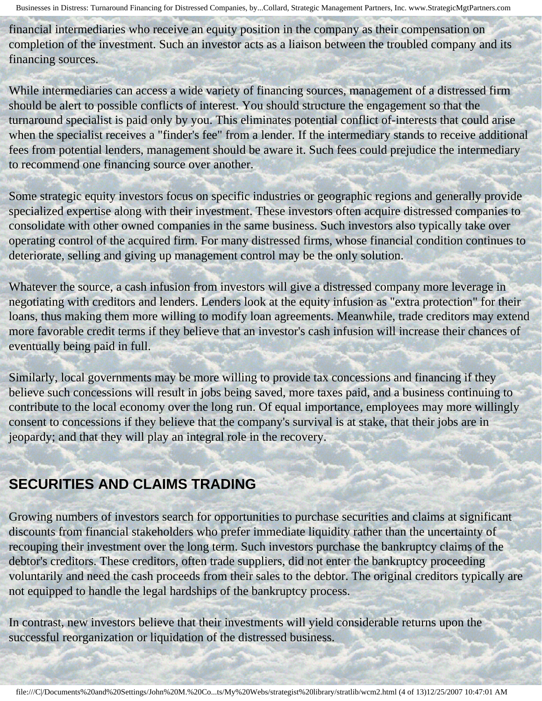financial intermediaries who receive an equity position in the company as their compensation on completion of the investment. Such an investor acts as a liaison between the troubled company and its financing sources.

While intermediaries can access a wide variety of financing sources, management of a distressed firm should be alert to possible conflicts of interest. You should structure the engagement so that the turnaround specialist is paid only by you. This eliminates potential conflict of-interests that could arise when the specialist receives a "finder's fee" from a lender. If the intermediary stands to receive additional fees from potential lenders, management should be aware it. Such fees could prejudice the intermediary to recommend one financing source over another.

Some strategic equity investors focus on specific industries or geographic regions and generally provide specialized expertise along with their investment. These investors often acquire distressed companies to consolidate with other owned companies in the same business. Such investors also typically take over operating control of the acquired firm. For many distressed firms, whose financial condition continues to deteriorate, selling and giving up management control may be the only solution.

Whatever the source, a cash infusion from investors will give a distressed company more leverage in negotiating with creditors and lenders. Lenders look at the equity infusion as "extra protection" for their loans, thus making them more willing to modify loan agreements. Meanwhile, trade creditors may extend more favorable credit terms if they believe that an investor's cash infusion will increase their chances of eventually being paid in full.

Similarly, local governments may be more willing to provide tax concessions and financing if they believe such concessions will result in jobs being saved, more taxes paid, and a business continuing to contribute to the local economy over the long run. Of equal importance, employees may more willingly consent to concessions if they believe that the company's survival is at stake, that their jobs are in jeopardy; and that they will play an integral role in the recovery.

### **SECURITIES AND CLAIMS TRADING**

Growing numbers of investors search for opportunities to purchase securities and claims at significant discounts from financial stakeholders who prefer immediate liquidity rather than the uncertainty of recouping their investment over the long term. Such investors purchase the bankruptcy claims of the debtor's creditors. These creditors, often trade suppliers, did not enter the bankruptcy proceeding voluntarily and need the cash proceeds from their sales to the debtor. The original creditors typically are not equipped to handle the legal hardships of the bankruptcy process.

In contrast, new investors believe that their investments will yield considerable returns upon the successful reorganization or liquidation of the distressed business.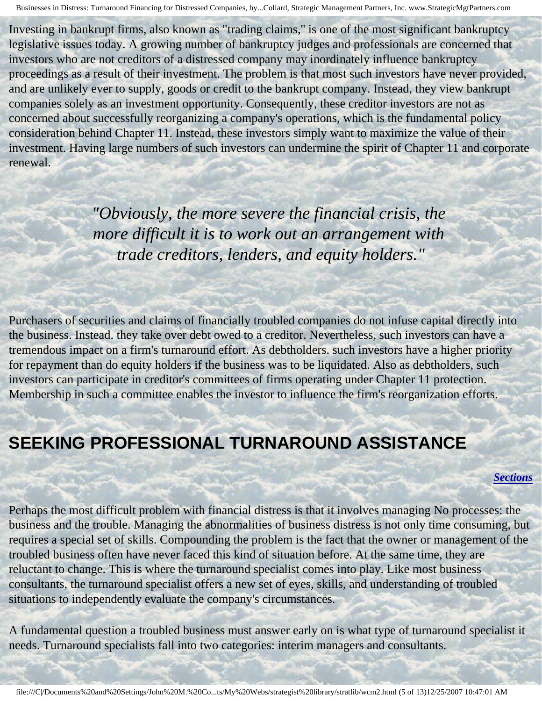Investing in bankrupt firms, also known as "trading claims,'' is one of the most significant bankruptcy legislative issues today. A growing number of bankruptcy judges and professionals are concerned that investors who are not creditors of a distressed company may inordinately influence bankruptcy proceedings as a result of their investment. The problem is that most such investors have never provided, and are unlikely ever to supply, goods or credit to the bankrupt company. Instead, they view bankrupt companies solely as an investment opportunity. Consequently, these creditor investors are not as concerned about successfully reorganizing a company's operations, which is the fundamental policy consideration behind Chapter 11. Instead, these investors simply want to maximize the value of their investment. Having large numbers of such investors can undermine the spirit of Chapter 11 and corporate renewal.

> *"Obviously, the more severe the financial crisis, the more difficult it is to work out an arrangement with trade creditors, lenders, and equity holders."*

Purchasers of securities and claims of financially troubled companies do not infuse capital directly into the business. Instead. they take over debt owed to a creditor. Nevertheless, such investors can have a tremendous impact on a firm's turnaround effort. As debtholders. such investors have a higher priority for repayment than do equity holders if the business was to be liquidated. Also as debtholders, such investors can participate in creditor's committees of firms operating under Chapter 11 protection. Membership in such a committee enables the investor to influence the firm's reorganization efforts.

## <span id="page-4-0"></span>**SEEKING PROFESSIONAL TURNAROUND ASSISTANCE**

*[Sections](#page-0-2)*

Perhaps the most difficult problem with financial distress is that it involves managing No processes: the business and the trouble. Managing the abnormalities of business distress is not only time consuming, but requires a special set of skills. Compounding the problem is the fact that the owner or management of the troubled business often have never faced this kind of situation before. At the same time, they are reluctant to change. This is where the turnaround specialist comes into play. Like most business consultants, the turnaround specialist offers a new set of eyes, skills, and understanding of troubled situations to independently evaluate the company's circumstances.

A fundamental question a troubled business must answer early on is what type of turnaround specialist it needs. Turnaround specialists fall into two categories: interim managers and consultants.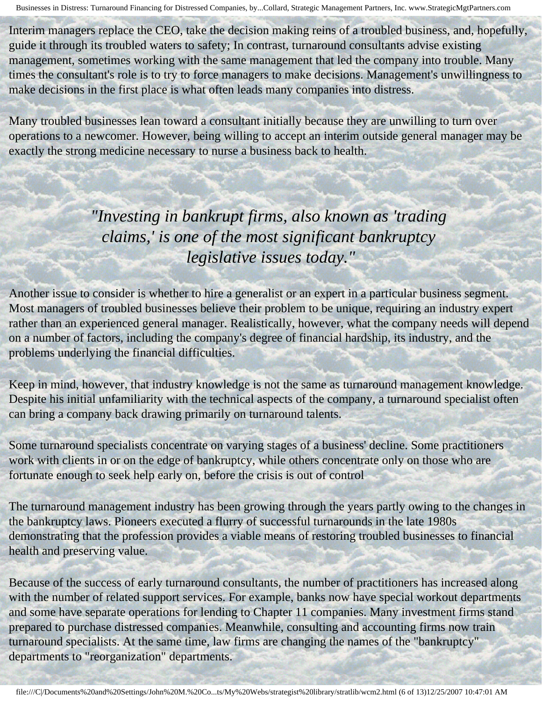Interim managers replace the CEO, take the decision making reins of a troubled business, and, hopefully, guide it through its troubled waters to safety; In contrast, turnaround consultants advise existing management, sometimes working with the same management that led the company into trouble. Many times the consultant's role is to try to force managers to make decisions. Management's unwillingness to make decisions in the first place is what often leads many companies into distress.

Many troubled businesses lean toward a consultant initially because they are unwilling to turn over operations to a newcomer. However, being willing to accept an interim outside general manager may be exactly the strong medicine necessary to nurse a business back to health.

l

*"Investing in bankrupt firms, also known as 'trading claims,' is one of the most significant bankruptcy legislative issues today."*

Another issue to consider is whether to hire a generalist or an expert in a particular business segment. Most managers of troubled businesses believe their problem to be unique, requiring an industry expert rather than an experienced general manager. Realistically, however, what the company needs will depend on a number of factors, including the company's degree of financial hardship, its industry, and the problems underlying the financial difficulties.

Keep in mind, however, that industry knowledge is not the same as turnaround management knowledge. Despite his initial unfamiliarity with the technical aspects of the company, a turnaround specialist often can bring a company back drawing primarily on turnaround talents.

Some turnaround specialists concentrate on varying stages of a business' decline. Some practitioners work with clients in or on the edge of bankruptcy, while others concentrate only on those who are fortunate enough to seek help early on, before the crisis is out of control

The turnaround management industry has been growing through the years partly owing to the changes in the bankruptcy laws. Pioneers executed a flurry of successful turnarounds in the late 1980s demonstrating that the profession provides a viable means of restoring troubled businesses to financial health and preserving value.

Because of the success of early turnaround consultants, the number of practitioners has increased along with the number of related support services. For example, banks now have special workout departments and some have separate operations for lending to Chapter 11 companies. Many investment firms stand prepared to purchase distressed companies. Meanwhile, consulting and accounting firms now train turnaround specialists. At the same time, law firms are changing the names of the "bankruptcy" departments to "reorganization" departments.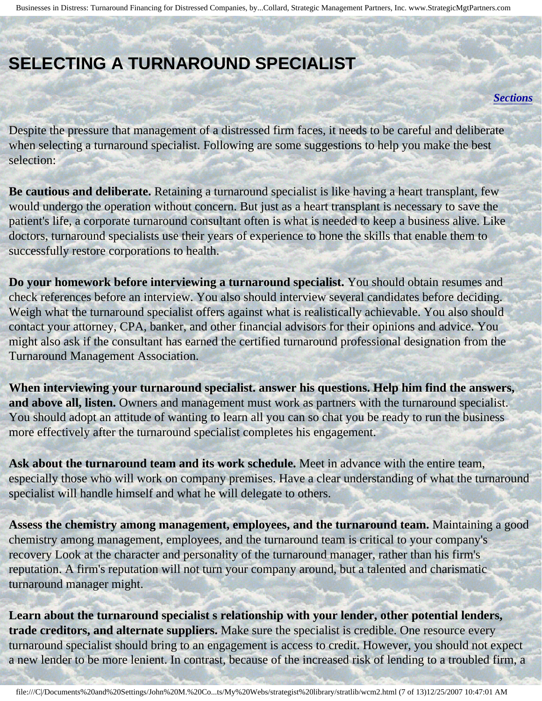## <span id="page-6-0"></span>**SELECTING A TURNAROUND SPECIALIST**

#### *[Sections](#page-0-2)*

Despite the pressure that management of a distressed firm faces, it needs to be careful and deliberate when selecting a turnaround specialist. Following are some suggestions to help you make the best selection:

**Be cautious and deliberate.** Retaining a turnaround specialist is like having a heart transplant, few would undergo the operation without concern. But just as a heart transplant is necessary to save the patient's life, a corporate turnaround consultant often is what is needed to keep a business alive. Like doctors, turnaround specialists use their years of experience to hone the skills that enable them to successfully restore corporations to health.

**Do your homework before interviewing a turnaround specialist.** You should obtain resumes and check references before an interview. You also should interview several candidates before deciding. Weigh what the turnaround specialist offers against what is realistically achievable. You also should contact your attorney, CPA, banker, and other financial advisors for their opinions and advice. You might also ask if the consultant has earned the certified turnaround professional designation from the Turnaround Management Association.

**When interviewing your turnaround specialist. answer his questions. Help him find the answers, and above all, listen.** Owners and management must work as partners with the turnaround specialist. You should adopt an attitude of wanting to learn all you can so chat you be ready to run the business more effectively after the turnaround specialist completes his engagement.

**Ask about the turnaround team and its work schedule.** Meet in advance with the entire team, especially those who will work on company premises. Have a clear understanding of what the turnaround specialist will handle himself and what he will delegate to others.

**Assess the chemistry among management, employees, and the turnaround team.** Maintaining a good chemistry among management, employees, and the turnaround team is critical to your company's recovery Look at the character and personality of the turnaround manager, rather than his firm's reputation. A firm's reputation will not turn your company around, but a talented and charismatic turnaround manager might.

**Learn about the turnaround specialist s relationship with your lender, other potential lenders, trade creditors, and alternate suppliers.** Make sure the specialist is credible. One resource every turnaround specialist should bring to an engagement is access to credit. However, you should not expect a new lender to be more lenient. In contrast, because of the increased risk of lending to a troubled firm, a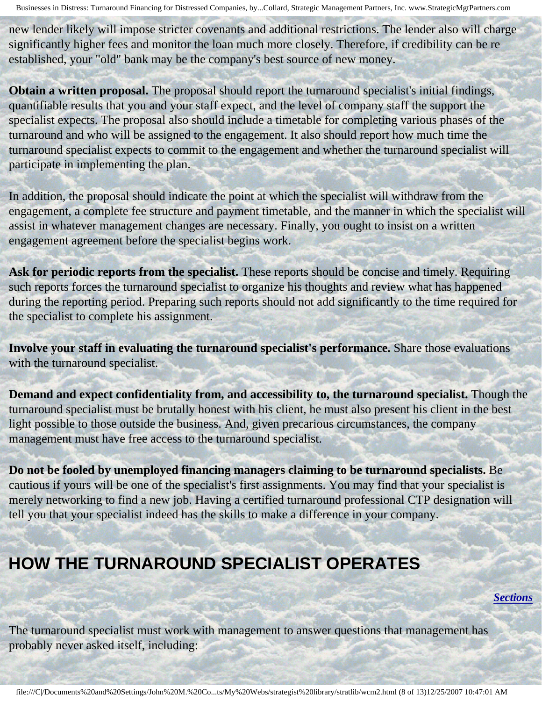new lender likely will impose stricter covenants and additional restrictions. The lender also will charge significantly higher fees and monitor the loan much more closely. Therefore, if credibility can be re established, your "old" bank may be the company's best source of new money.

**Obtain a written proposal.** The proposal should report the turnaround specialist's initial findings, quantifiable results that you and your staff expect, and the level of company staff the support the specialist expects. The proposal also should include a timetable for completing various phases of the turnaround and who will be assigned to the engagement. It also should report how much time the turnaround specialist expects to commit to the engagement and whether the turnaround specialist will participate in implementing the plan.

In addition, the proposal should indicate the point at which the specialist will withdraw from the engagement, a complete fee structure and payment timetable, and the manner in which the specialist will assist in whatever management changes are necessary. Finally, you ought to insist on a written engagement agreement before the specialist begins work.

Ask for periodic reports from the specialist. These reports should be concise and timely. Requiring such reports forces the turnaround specialist to organize his thoughts and review what has happened during the reporting period. Preparing such reports should not add significantly to the time required for the specialist to complete his assignment.

**Involve your staff in evaluating the turnaround specialist's performance.** Share those evaluations with the turnaround specialist.

**Demand and expect confidentiality from, and accessibility to, the turnaround specialist.** Though the turnaround specialist must be brutally honest with his client, he must also present his client in the best light possible to those outside the business. And, given precarious circumstances, the company management must have free access to the turnaround specialist.

**Do not be fooled by unemployed financing managers claiming to be turnaround specialists.** Be cautious if yours will be one of the specialist's first assignments. You may find that your specialist is merely networking to find a new job. Having a certified turnaround professional CTP designation will tell you that your specialist indeed has the skills to make a difference in your company.

## <span id="page-7-0"></span>**HOW THE TURNAROUND SPECIALIST OPERATES**

*[Sections](#page-0-2)*

The turnaround specialist must work with management to answer questions that management has probably never asked itself, including: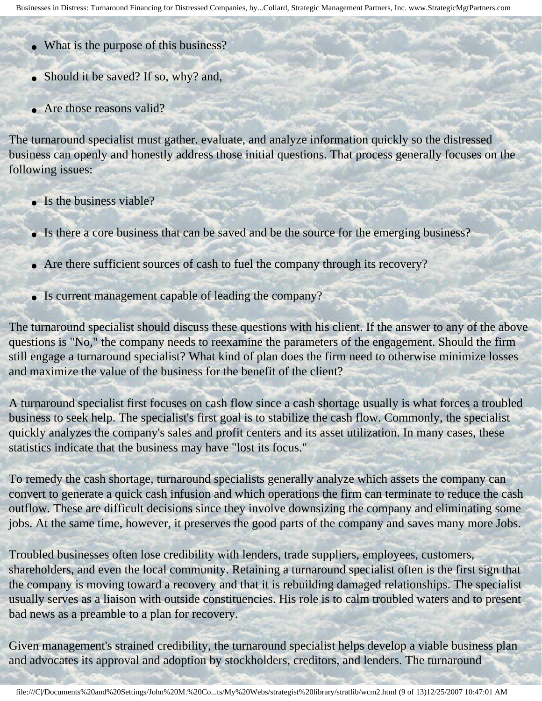- What is the purpose of this business?
- Should it be saved? If so, why? and,
- Are those reasons valid?

The turnaround specialist must gather. evaluate, and analyze information quickly so the distressed business can openly and honestly address those initial questions. That process generally focuses on the following issues:

- Is the business viable?
- Is there a core business that can be saved and be the source for the emerging business?
- Are there sufficient sources of cash to fuel the company through its recovery?
- Is current management capable of leading the company?

The turnaround specialist should discuss these questions with his client. If the answer to any of the above questions is "No," the company needs to reexamine the parameters of the engagement. Should the firm still engage a turnaround specialist? What kind of plan does the firm need to otherwise minimize losses and maximize the value of the business for the benefit of the client?

A turnaround specialist first focuses on cash flow since a cash shortage usually is what forces a troubled business to seek help. The specialist's first goal is to stabilize the cash flow. Commonly, the specialist quickly analyzes the company's sales and profit centers and its asset utilization. In many cases, these statistics indicate that the business may have "lost its focus."

To remedy the cash shortage, turnaround specialists generally analyze which assets the company can convert to generate a quick cash infusion and which operations the firm can terminate to reduce the cash outflow. These are difficult decisions since they involve downsizing the company and eliminating some jobs. At the same time, however, it preserves the good parts of the company and saves many more Jobs.

Troubled businesses often lose credibility with lenders, trade suppliers, employees, customers, shareholders, and even the local community. Retaining a turnaround specialist often is the first sign that the company is moving toward a recovery and that it is rebuilding damaged relationships. The specialist usually serves as a liaison with outside constituencies. His role is to calm troubled waters and to present bad news as a preamble to a plan for recovery.

Given management's strained credibility, the turnaround specialist helps develop a viable business plan and advocates its approval and adoption by stockholders, creditors, and lenders. The turnaround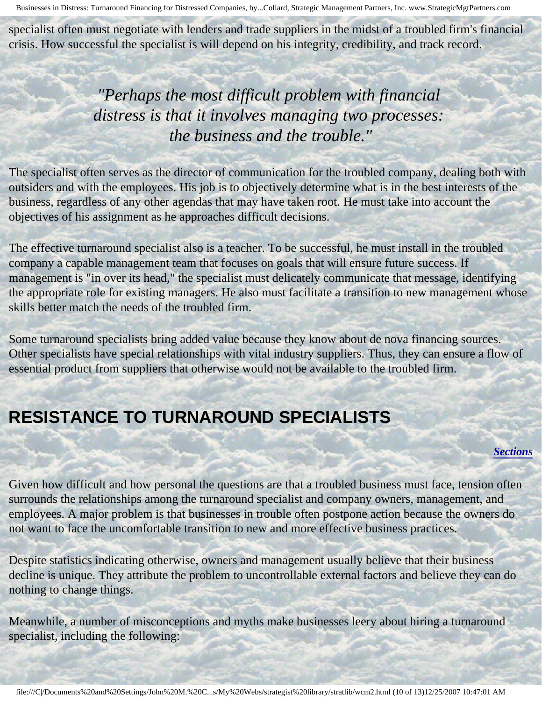specialist often must negotiate with lenders and trade suppliers in the midst of a troubled firm's financial crisis. How successful the specialist is will depend on his integrity, credibility, and track record.

> *"Perhaps the most difficult problem with financial distress is that it involves managing two processes: the business and the trouble."*

The specialist often serves as the director of communication for the troubled company, dealing both with outsiders and with the employees. His job is to objectively determine what is in the best interests of the business, regardless of any other agendas that may have taken root. He must take into account the objectives of his assignment as he approaches difficult decisions.

The effective turnaround specialist also is a teacher. To be successful, he must install in the troubled company a capable management team that focuses on goals that will ensure future success. If management is "in over its head," the specialist must delicately communicate that message, identifying the appropriate role for existing managers. He also must facilitate a transition to new management whose skills better match the needs of the troubled firm.

Some turnaround specialists bring added value because they know about de nova financing sources. Other specialists have special relationships with vital industry suppliers. Thus, they can ensure a flow of essential product from suppliers that otherwise would not be available to the troubled firm.

## <span id="page-9-0"></span>**RESISTANCE TO TURNAROUND SPECIALISTS**

#### *[Sections](#page-0-2)*

Given how difficult and how personal the questions are that a troubled business must face, tension often surrounds the relationships among the turnaround specialist and company owners, management, and employees. A major problem is that businesses in trouble often postpone action because the owners do not want to face the uncomfortable transition to new and more effective business practices.

Despite statistics indicating otherwise, owners and management usually believe that their business decline is unique. They attribute the problem to uncontrollable external factors and believe they can do nothing to change things.

Meanwhile, a number of misconceptions and myths make businesses leery about hiring a turnaround specialist, including the following: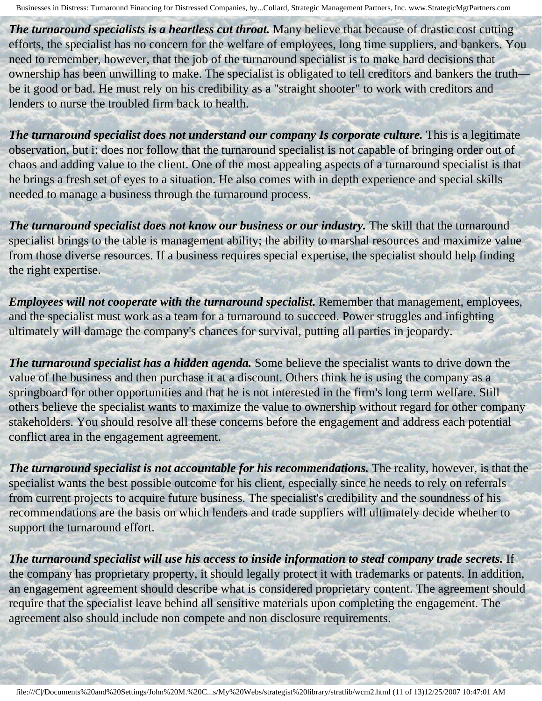**The turnaround specialists is a heartless cut throat.** Many believe that because of drastic cost cutting efforts, the specialist has no concern for the welfare of employees, long time suppliers, and bankers. You need to remember, however, that the job of the turnaround specialist is to make hard decisions that ownership has been unwilling to make. The specialist is obligated to tell creditors and bankers the truth be it good or bad. He must rely on his credibility as a "straight shooter" to work with creditors and lenders to nurse the troubled firm back to health.

*The turnaround specialist does not understand our company Is corporate culture.* This is a legitimate observation, but i: does nor follow that the turnaround specialist is not capable of bringing order out of chaos and adding value to the client. One of the most appealing aspects of a turnaround specialist is that he brings a fresh set of eyes to a situation. He also comes with in depth experience and special skills needed to manage a business through the turnaround process.

**The turnaround specialist does not know our business or our industry.** The skill that the turnaround specialist brings to the table is management ability; the ability to marshal resources and maximize value from those diverse resources. If a business requires special expertise, the specialist should help finding the right expertise.

*Employees will not cooperate with the turnaround specialist.* Remember that management, employees, and the specialist must work as a team for a turnaround to succeed. Power struggles and infighting ultimately will damage the company's chances for survival, putting all parties in jeopardy.

*The turnaround specialist has a hidden agenda.* Some believe the specialist wants to drive down the value of the business and then purchase it at a discount. Others think he is using the company as a springboard for other opportunities and that he is not interested in the firm's long term welfare. Still others believe the specialist wants to maximize the value to ownership without regard for other company stakeholders. You should resolve all these concerns before the engagement and address each potential conflict area in the engagement agreement.

*The turnaround specialist is not accountable for his recommendations.* The reality, however, is that the specialist wants the best possible outcome for his client, especially since he needs to rely on referrals from current projects to acquire future business. The specialist's credibility and the soundness of his recommendations are the basis on which lenders and trade suppliers will ultimately decide whether to support the turnaround effort.

<span id="page-10-0"></span>*The turnaround specialist will use his access to inside information to steal company trade secrets.* If the company has proprietary property, it should legally protect it with trademarks or patents. In addition, an engagement agreement should describe what is considered proprietary content. The agreement should require that the specialist leave behind all sensitive materials upon completing the engagement. The agreement also should include non compete and non disclosure requirements.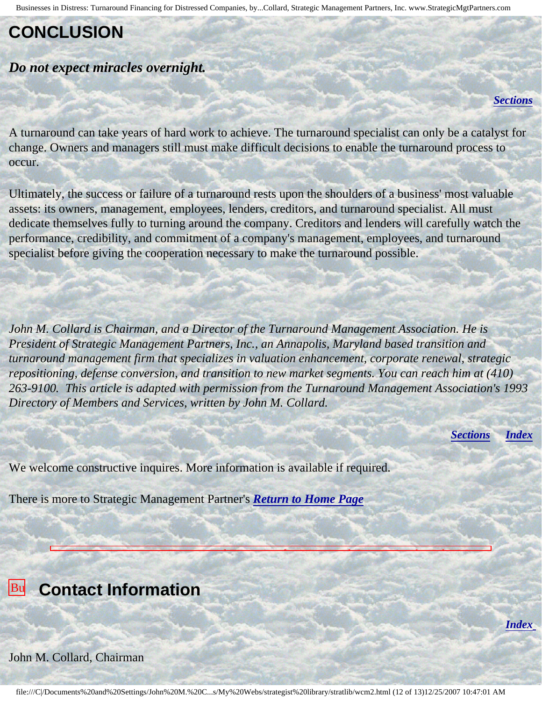## **CONCLUSION**

### *Do not expect miracles overnight.*

*[Sections](#page-0-2)*

A turnaround can take years of hard work to achieve. The turnaround specialist can only be a catalyst for change. Owners and managers still must make difficult decisions to enable the turnaround process to occur.

Ultimately, the success or failure of a turnaround rests upon the shoulders of a business' most valuable assets: its owners, management, employees, lenders, creditors, and turnaround specialist. All must dedicate themselves fully to turning around the company. Creditors and lenders will carefully watch the performance, credibility, and commitment of a company's management, employees, and turnaround specialist before giving the cooperation necessary to make the turnaround possible.

*John M. Collard is Chairman, and a Director of the Turnaround Management Association. He is President of Strategic Management Partners, Inc., an Annapolis, Maryland based transition and turnaround management firm that specializes in valuation enhancement, corporate renewal, strategic repositioning, defense conversion, and transition to new market segments. You can reach him at (410) 263-9100. This article is adapted with permission from the Turnaround Management Association's 1993 Directory of Members and Services, written by John M. Collard.*

*[Sections](#page-0-2) [Index](#page-0-3)*

*[Index](#page-0-3)*

We welcome constructive inquires. More information is available if required.

There is more to Strategic Management Partner's *[Return to Home Page](http://members.aol.com/strategist/home.html#TOP)*

<span id="page-11-0"></span>**Businesses Contact Information** in

### Financing John M. Collard, Chairman

Distress: **Northern Pro** 

Businesses in Distress: Turnaround Financing for Distressed Companies, by John M. Collard, Strategic Management Partners, Inc., published by Journal of Working Capital